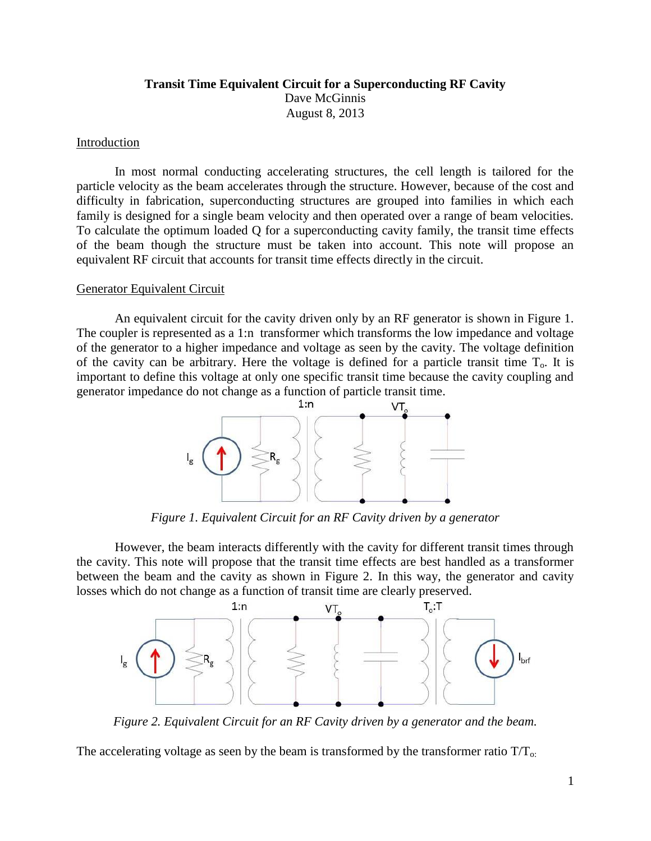# **Transit Time Equivalent Circuit for a Superconducting RF Cavity** Dave McGinnis August 8, 2013

## Introduction

In most normal conducting accelerating structures, the cell length is tailored for the particle velocity as the beam accelerates through the structure. However, because of the cost and difficulty in fabrication, superconducting structures are grouped into families in which each family is designed for a single beam velocity and then operated over a range of beam velocities. To calculate the optimum loaded Q for a superconducting cavity family, the transit time effects of the beam though the structure must be taken into account. This note will propose an equivalent RF circuit that accounts for transit time effects directly in the circuit.

#### Generator Equivalent Circuit

An equivalent circuit for the cavity driven only by an RF generator is shown in Figure 1. The coupler is represented as a 1:n transformer which transforms the low impedance and voltage of the generator to a higher impedance and voltage as seen by the cavity. The voltage definition of the cavity can be arbitrary. Here the voltage is defined for a particle transit time  $T_0$ . It is important to define this voltage at only one specific transit time because the cavity coupling and generator impedance do not change as a function of particle transit time.



*Figure 1. Equivalent Circuit for an RF Cavity driven by a generator*

However, the beam interacts differently with the cavity for different transit times through the cavity. This note will propose that the transit time effects are best handled as a transformer between the beam and the cavity as shown in Figure 2. In this way, the generator and cavity losses which do not change as a function of transit time are clearly preserved.



*Figure 2. Equivalent Circuit for an RF Cavity driven by a generator and the beam.*

The accelerating voltage as seen by the beam is transformed by the transformer ratio  $T/T_{o}$ .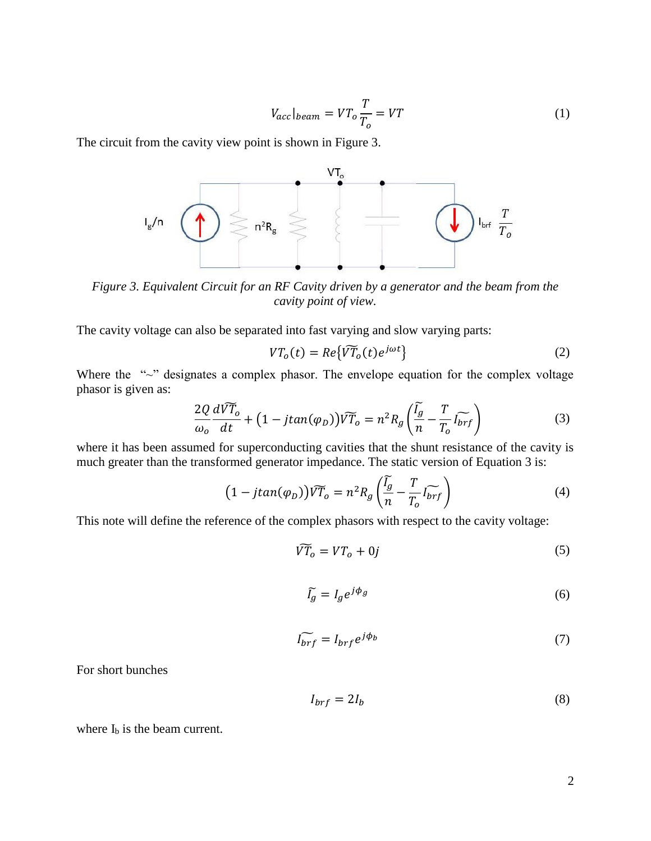$$
V_{acc}|_{beam} = VT_{o} \frac{T}{T_o} = VT \tag{1}
$$

The circuit from the cavity view point is shown in Figure 3.



*Figure 3. Equivalent Circuit for an RF Cavity driven by a generator and the beam from the cavity point of view.*

The cavity voltage can also be separated into fast varying and slow varying parts:

$$
VT_o(t) = Re\{\widetilde{VT}_o(t)e^{j\omega t}\}\tag{2}
$$

Where the " $\sim$ " designates a complex phasor. The envelope equation for the complex voltage phasor is given as:

$$
\frac{2Q}{\omega_o} \frac{d\widetilde{VT}_o}{dt} + (1 - j \tan(\varphi_D)) \widetilde{VT}_o = n^2 R_g \left( \frac{\widetilde{l_g}}{n} - \frac{T}{T_o} \widetilde{l_{brf}} \right)
$$
(3)

where it has been assumed for superconducting cavities that the shunt resistance of the cavity is much greater than the transformed generator impedance. The static version of Equation 3 is:

$$
(1 - j \tan(\varphi_D)) \widetilde{VT}_o = n^2 R_g \left( \frac{\widetilde{I_g}}{n} - \frac{T}{T_o} \widetilde{I_{brf}} \right)
$$
(4)

This note will define the reference of the complex phasors with respect to the cavity voltage:

$$
\widetilde{VT}_o = VT_o + 0j\tag{5}
$$

$$
\widetilde{I_g} = I_g e^{j\phi_g} \tag{6}
$$

$$
\widetilde{I_{brf}} = I_{brf} e^{j\phi_b} \tag{7}
$$

For short bunches

$$
I_{brf} = 2I_b \tag{8}
$$

where  $I_b$  is the beam current.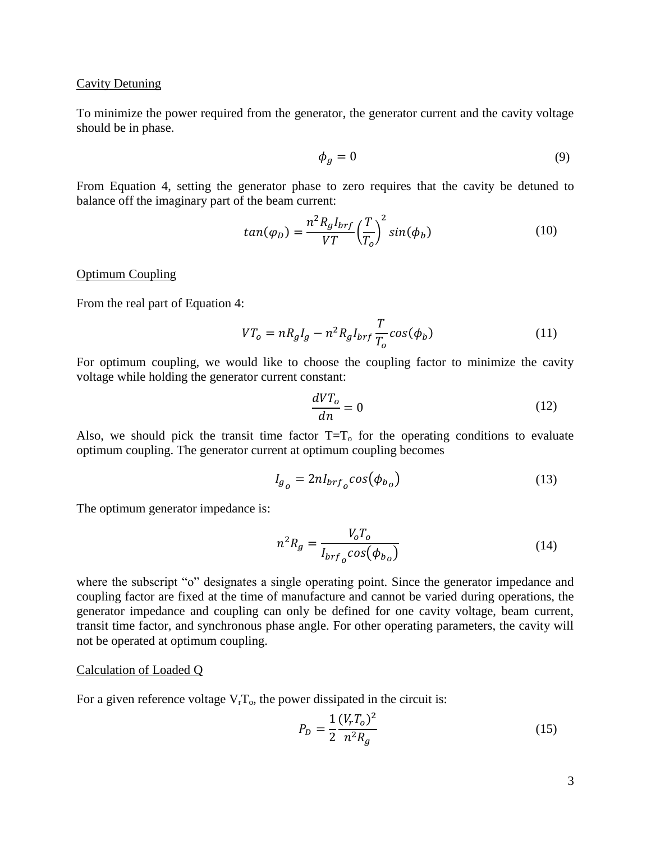# Cavity Detuning

To minimize the power required from the generator, the generator current and the cavity voltage should be in phase.

$$
\phi_g = 0 \tag{9}
$$

From Equation 4, setting the generator phase to zero requires that the cavity be detuned to balance off the imaginary part of the beam current:

$$
tan(\varphi_D) = \frac{n^2 R_g I_{brf}}{VT} \left(\frac{T}{T_o}\right)^2 sin(\phi_b)
$$
 (10)

# Optimum Coupling

From the real part of Equation 4:

$$
VT_o = nR_gI_g - n^2R_gI_{brf}\frac{T}{T_o}\cos(\phi_b)
$$
 (11)

For optimum coupling, we would like to choose the coupling factor to minimize the cavity voltage while holding the generator current constant:

$$
\frac{dV T_o}{dn} = 0\tag{12}
$$

Also, we should pick the transit time factor  $T=T_0$  for the operating conditions to evaluate optimum coupling. The generator current at optimum coupling becomes

$$
I_{g} = 2nl_{brf} \cos(\phi_{b_o})
$$
 (13)

The optimum generator impedance is:

$$
n^2 R_g = \frac{V_o T_o}{I_{brf_o} \cos(\phi_{b_o})}
$$
(14)

where the subscript "o" designates a single operating point. Since the generator impedance and coupling factor are fixed at the time of manufacture and cannot be varied during operations, the generator impedance and coupling can only be defined for one cavity voltage, beam current, transit time factor, and synchronous phase angle. For other operating parameters, the cavity will not be operated at optimum coupling.

 $\sim$ 

#### Calculation of Loaded Q

For a given reference voltage  $V<sub>r</sub>T<sub>o</sub>$ , the power dissipated in the circuit is:

$$
P_D = \frac{1}{2} \frac{(V_r T_o)^2}{n^2 R_g} \tag{15}
$$